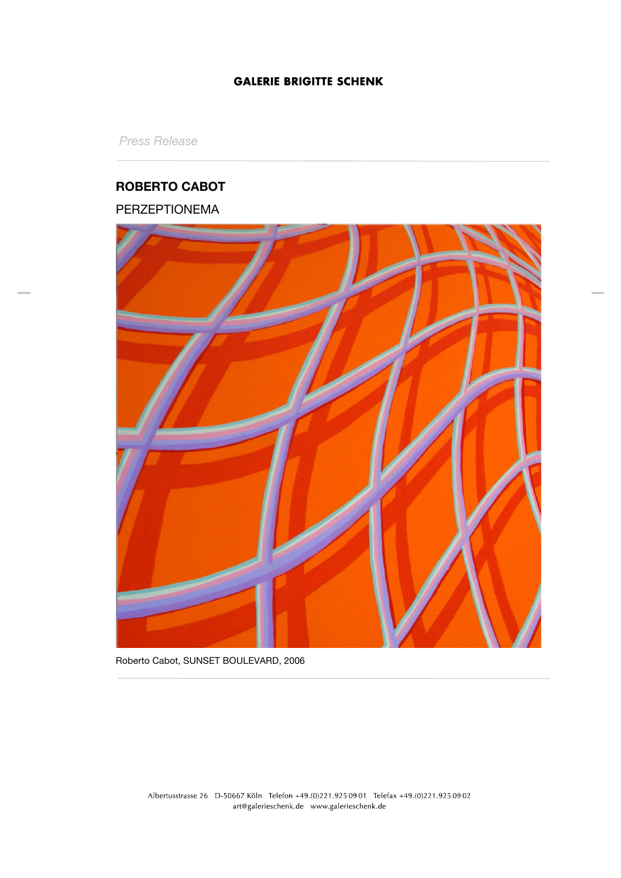*Press Release*

# **ROBERTO CABOT**

# PERZEPTIONEMA



Roberto Cabot, SUNSET BOULEVARD, 2006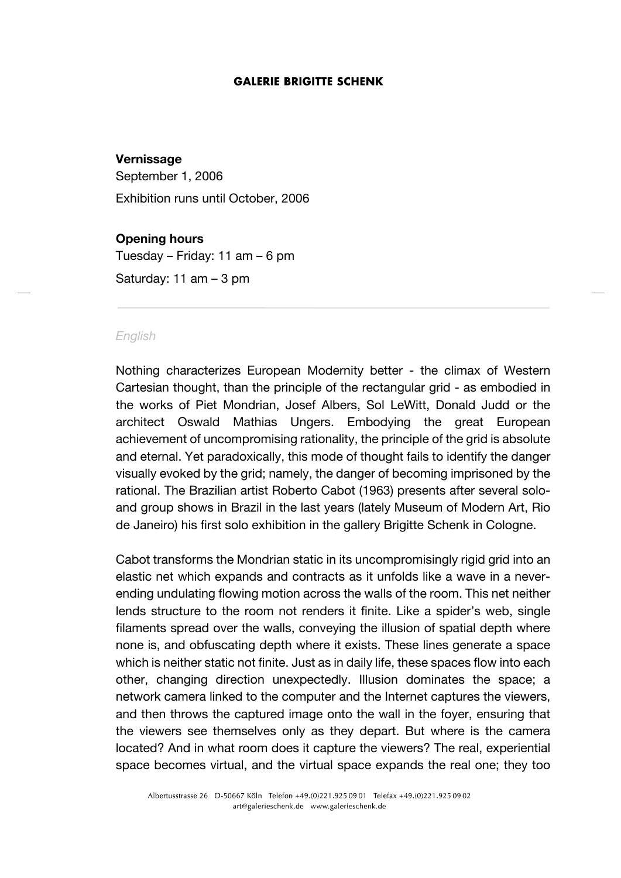## **Vernissage**

September 1, 2006 Exhibition runs until October, 2006

#### **Opening hours**

Tuesday – Friday: 11 am – 6 pm

Saturday: 11 am – 3 pm

#### *English*

Nothing characterizes European Modernity better - the climax of Western Cartesian thought, than the principle of the rectangular grid - as embodied in the works of Piet Mondrian, Josef Albers, Sol LeWitt, Donald Judd or the architect Oswald Mathias Ungers. Embodying the great European achievement of uncompromising rationality, the principle of the grid is absolute and eternal. Yet paradoxically, this mode of thought fails to identify the danger visually evoked by the grid; namely, the danger of becoming imprisoned by the rational. The Brazilian artist Roberto Cabot (1963) presents after several soloand group shows in Brazil in the last years (lately Museum of Modern Art, Rio de Janeiro) his first solo exhibition in the gallery Brigitte Schenk in Cologne.

Cabot transforms the Mondrian static in its uncompromisingly rigid grid into an elastic net which expands and contracts as it unfolds like a wave in a neverending undulating flowing motion across the walls of the room. This net neither lends structure to the room not renders it finite. Like a spider's web, single filaments spread over the walls, conveying the illusion of spatial depth where none is, and obfuscating depth where it exists. These lines generate a space which is neither static not finite. Just as in daily life, these spaces flow into each other, changing direction unexpectedly. Illusion dominates the space; a network camera linked to the computer and the Internet captures the viewers, and then throws the captured image onto the wall in the foyer, ensuring that the viewers see themselves only as they depart. But where is the camera located? And in what room does it capture the viewers? The real, experiential space becomes virtual, and the virtual space expands the real one; they too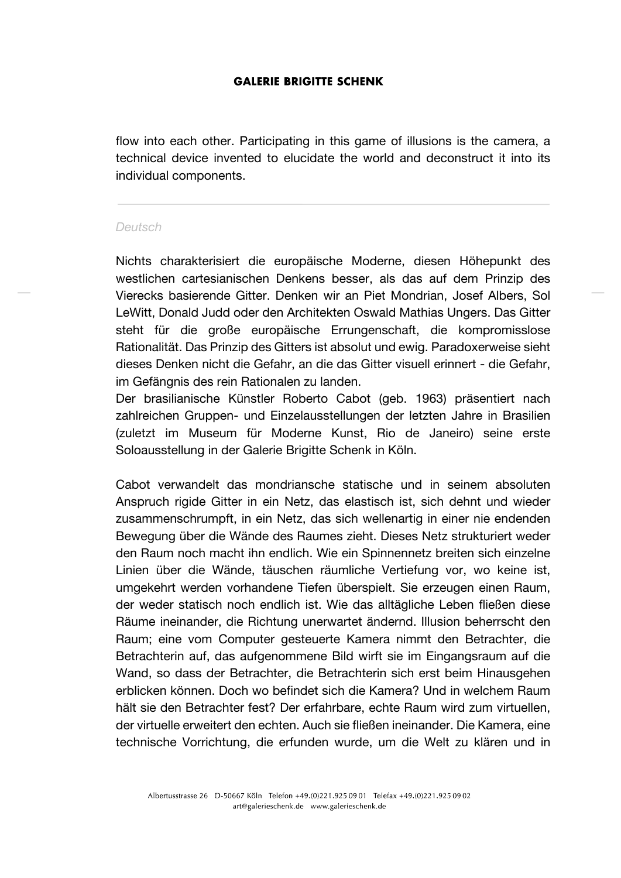flow into each other. Participating in this game of illusions is the camera, a technical device invented to elucidate the world and deconstruct it into its individual components.

#### *Deutsch*

Nichts charakterisiert die europäische Moderne, diesen Höhepunkt des westlichen cartesianischen Denkens besser, als das auf dem Prinzip des Vierecks basierende Gitter. Denken wir an Piet Mondrian, Josef Albers, Sol LeWitt, Donald Judd oder den Architekten Oswald Mathias Ungers. Das Gitter steht für die große europäische Errungenschaft, die kompromisslose Rationalität. Das Prinzip des Gitters ist absolut und ewig. Paradoxerweise sieht dieses Denken nicht die Gefahr, an die das Gitter visuell erinnert - die Gefahr, im Gefängnis des rein Rationalen zu landen.

Der brasilianische Künstler Roberto Cabot (geb. 1963) präsentiert nach zahlreichen Gruppen- und Einzelausstellungen der letzten Jahre in Brasilien (zuletzt im Museum für Moderne Kunst, Rio de Janeiro) seine erste Soloausstellung in der Galerie Brigitte Schenk in Köln.

Cabot verwandelt das mondriansche statische und in seinem absoluten Anspruch rigide Gitter in ein Netz, das elastisch ist, sich dehnt und wieder zusammenschrumpft, in ein Netz, das sich wellenartig in einer nie endenden Bewegung über die Wände des Raumes zieht. Dieses Netz strukturiert weder den Raum noch macht ihn endlich. Wie ein Spinnennetz breiten sich einzelne Linien über die Wände, täuschen räumliche Vertiefung vor, wo keine ist, umgekehrt werden vorhandene Tiefen überspielt. Sie erzeugen einen Raum, der weder statisch noch endlich ist. Wie das alltägliche Leben fließen diese Räume ineinander, die Richtung unerwartet ändernd. Illusion beherrscht den Raum; eine vom Computer gesteuerte Kamera nimmt den Betrachter, die Betrachterin auf, das aufgenommene Bild wirft sie im Eingangsraum auf die Wand, so dass der Betrachter, die Betrachterin sich erst beim Hinausgehen erblicken können. Doch wo befindet sich die Kamera? Und in welchem Raum hält sie den Betrachter fest? Der erfahrbare, echte Raum wird zum virtuellen, der virtuelle erweitert den echten. Auch sie fließen ineinander. Die Kamera, eine technische Vorrichtung, die erfunden wurde, um die Welt zu klären und in